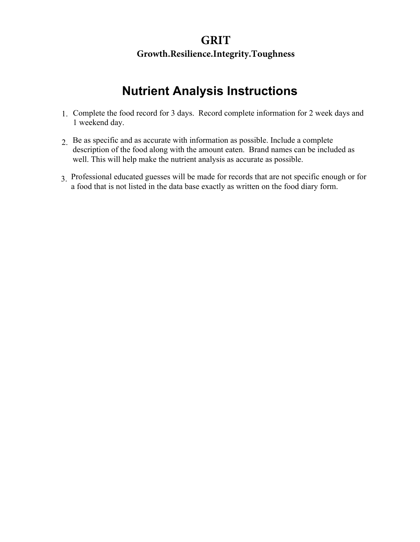### **GRIT**

#### **Growth.Resilience.Integrity.Toughness**

# **Nutrient Analysis Instructions**

- 1. Complete the food record for 3 days. Record complete information for 2 week days and 1 weekend day.
- 2. Be as specific and as accurate with information as possible. Include a complete description of the food along with the amount eaten. Brand names can be included as well. This will help make the nutrient analysis as accurate as possible.
- 3. Professional educated guesses will be made for records that are not specific enough or for a food that is not listed in the data base exactly as written on the food diary form.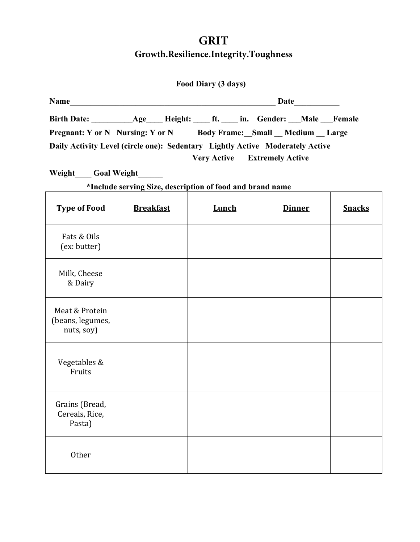| Food Diary (3 days) |  |
|---------------------|--|
|                     |  |

| <b>Name</b> |                                                                               | Date                                |                                |
|-------------|-------------------------------------------------------------------------------|-------------------------------------|--------------------------------|
|             | Birth Date: Age Height: ft. in. Gender: Male Female                           |                                     |                                |
|             | <b>Pregnant:</b> Y or N Nursing: Y or N                                       |                                     | Body Frame: Small Medium Large |
|             | Daily Activity Level (circle one): Sedentary Lightly Active Moderately Active |                                     |                                |
|             |                                                                               | <b>Very Active Extremely Active</b> |                                |

**Weight\_\_\_\_ Goal Weight\_\_\_\_\_\_**

**\*Include serving Size, description of food and brand name**

| <b>Type of Food</b>                              | <b>Breakfast</b> | Lunch | <b>Dinner</b> | <b>Snacks</b> |
|--------------------------------------------------|------------------|-------|---------------|---------------|
| Fats & Oils<br>(ex: butter)                      |                  |       |               |               |
| Milk, Cheese<br>& Dairy                          |                  |       |               |               |
| Meat & Protein<br>(beans, legumes,<br>nuts, soy) |                  |       |               |               |
| Vegetables &<br>Fruits                           |                  |       |               |               |
| Grains (Bread,<br>Cereals, Rice,<br>Pasta)       |                  |       |               |               |
| Other                                            |                  |       |               |               |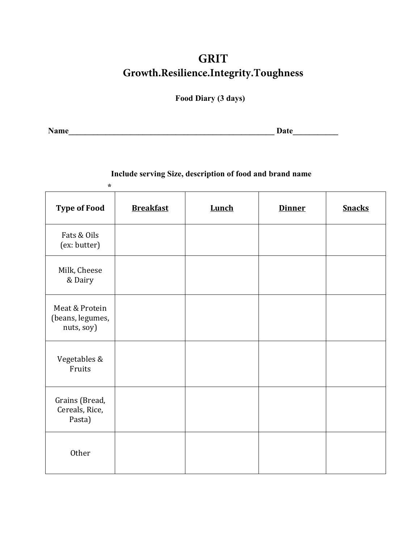**Food Diary (3 days)** 

**Name\_\_\_\_\_\_\_\_\_\_\_\_\_\_\_\_\_\_\_\_\_\_\_\_\_\_\_\_\_\_\_\_\_\_\_\_\_\_\_\_\_\_\_\_\_\_\_\_\_\_ Date\_\_\_\_\_\_\_\_\_\_\_**

#### **Include serving Size, description of food and brand name**

| $\star$                                          |                  |              |               |               |
|--------------------------------------------------|------------------|--------------|---------------|---------------|
| <b>Type of Food</b>                              | <b>Breakfast</b> | <b>Lunch</b> | <b>Dinner</b> | <b>Snacks</b> |
| Fats & Oils<br>(ex: butter)                      |                  |              |               |               |
| Milk, Cheese<br>& Dairy                          |                  |              |               |               |
| Meat & Protein<br>(beans, legumes,<br>nuts, soy) |                  |              |               |               |
| Vegetables &<br>Fruits                           |                  |              |               |               |
| Grains (Bread,<br>Cereals, Rice,<br>Pasta)       |                  |              |               |               |
| Other                                            |                  |              |               |               |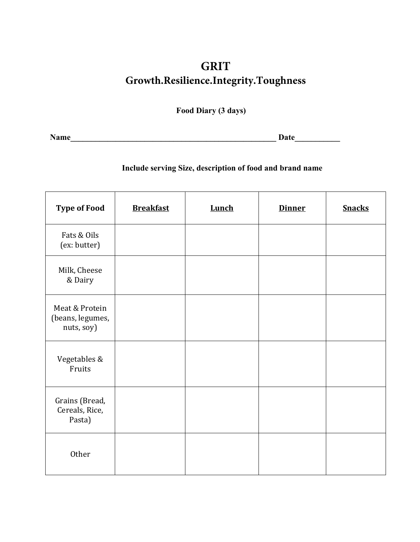**Food Diary (3 days)** 

**Name\_\_\_\_\_\_\_\_\_\_\_\_\_\_\_\_\_\_\_\_\_\_\_\_\_\_\_\_\_\_\_\_\_\_\_\_\_\_\_\_\_\_\_\_\_\_\_\_\_\_ Date\_\_\_\_\_\_\_\_\_\_\_** 

#### **Include serving Size, description of food and brand name**

| <b>Type of Food</b>                              | <b>Breakfast</b> | <b>Lunch</b> | <b>Dinner</b> | <b>Snacks</b> |
|--------------------------------------------------|------------------|--------------|---------------|---------------|
| Fats & Oils<br>(ex: butter)                      |                  |              |               |               |
| Milk, Cheese<br>& Dairy                          |                  |              |               |               |
| Meat & Protein<br>(beans, legumes,<br>nuts, soy) |                  |              |               |               |
| Vegetables &<br>Fruits                           |                  |              |               |               |
| Grains (Bread,<br>Cereals, Rice,<br>Pasta)       |                  |              |               |               |
| Other                                            |                  |              |               |               |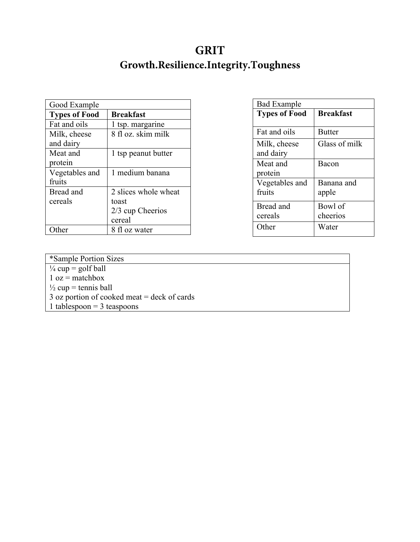| Good Example         |                      |
|----------------------|----------------------|
| <b>Types of Food</b> | <b>Breakfast</b>     |
| Fat and oils         | 1 tsp. margarine     |
| Milk, cheese         | 8 fl oz. skim milk   |
| and dairy            |                      |
| Meat and             | 1 tsp peanut butter  |
| protein              |                      |
| Vegetables and       | 1 medium banana      |
| fruits               |                      |
| Bread and            | 2 slices whole wheat |
| cereals              | toast                |
|                      | $2/3$ cup Cheerios   |
|                      | cereal               |
|                      | 8 fl oz water        |

| <b>Bad Example</b>   |                  |
|----------------------|------------------|
| <b>Types of Food</b> | <b>Breakfast</b> |
|                      |                  |
| Fat and oils         | <b>Butter</b>    |
| Milk, cheese         | Glass of milk    |
| and dairy            |                  |
| Meat and             | Bacon            |
| protein              |                  |
| Vegetables and       | Banana and       |
| fruits               | apple            |
| Bread and            | Bowl of          |
| cereals              | cheerios         |
| Other                | Water            |
|                      |                  |

| *Sample Portion Sizes                         |
|-----------------------------------------------|
| $\frac{1}{4}$ cup = golf ball                 |
| $1 oz = matchbox$                             |
| $\frac{1}{2}$ cup = tennis ball               |
| $3$ oz portion of cooked meat = deck of cards |
| 1 tablespoon = $3$ teaspoons                  |